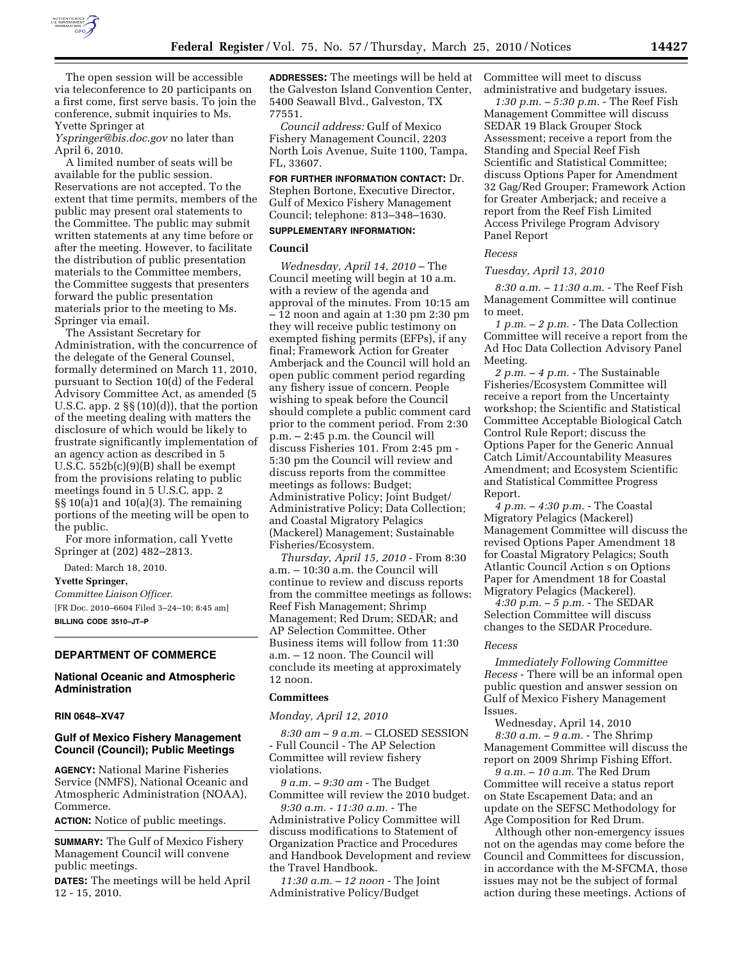

The open session will be accessible via teleconference to 20 participants on a first come, first serve basis. To join the conference, submit inquiries to Ms. Yvette Springer at

*Yspringer@bis.doc.gov* no later than April 6, 2010.

A limited number of seats will be available for the public session. Reservations are not accepted. To the extent that time permits, members of the public may present oral statements to the Committee. The public may submit written statements at any time before or after the meeting. However, to facilitate the distribution of public presentation materials to the Committee members, the Committee suggests that presenters forward the public presentation materials prior to the meeting to Ms. Springer via email.

The Assistant Secretary for Administration, with the concurrence of the delegate of the General Counsel, formally determined on March 11, 2010, pursuant to Section 10(d) of the Federal Advisory Committee Act, as amended (5 U.S.C. app. 2  $\S(10)(d)$ , that the portion of the meeting dealing with matters the disclosure of which would be likely to frustrate significantly implementation of an agency action as described in 5 U.S.C. 552b(c)(9)(B) shall be exempt from the provisions relating to public meetings found in 5 U.S.C. app. 2  $\S\S 10(a)1$  and  $10(a)(3)$ . The remaining portions of the meeting will be open to the public.

For more information, call Yvette Springer at (202) 482–2813.

Dated: March 18, 2010.

## **Yvette Springer,**

*Committee Liaison Officer.*  [FR Doc. 2010–6604 Filed 3–24–10; 8:45 am] **BILLING CODE 3510–JT–P** 

# **DEPARTMENT OF COMMERCE**

## **National Oceanic and Atmospheric Administration**

## **RIN 0648–XV47**

### **Gulf of Mexico Fishery Management Council (Council); Public Meetings**

**AGENCY:** National Marine Fisheries Service (NMFS), National Oceanic and Atmospheric Administration (NOAA), Commerce.

**ACTION:** Notice of public meetings.

**SUMMARY:** The Gulf of Mexico Fishery Management Council will convene public meetings.

**DATES:** The meetings will be held April 12 - 15, 2010.

**ADDRESSES:** The meetings will be held at the Galveston Island Convention Center, 5400 Seawall Blvd., Galveston, TX 77551.

*Council address:* Gulf of Mexico Fishery Management Council, 2203 North Lois Avenue, Suite 1100, Tampa, FL, 33607.

**FOR FURTHER INFORMATION CONTACT:** Dr. Stephen Bortone, Executive Director, Gulf of Mexico Fishery Management Council; telephone: 813–348–1630.

# **SUPPLEMENTARY INFORMATION:**

## **Council**

*Wednesday, April 14, 2010* – The Council meeting will begin at 10 a.m. with a review of the agenda and approval of the minutes. From 10:15 am – 12 noon and again at 1:30 pm 2:30 pm they will receive public testimony on exempted fishing permits (EFPs), if any final; Framework Action for Greater Amberjack and the Council will hold an open public comment period regarding any fishery issue of concern. People wishing to speak before the Council should complete a public comment card prior to the comment period. From 2:30 p.m. – 2:45 p.m. the Council will discuss Fisheries 101. From 2:45 pm - 5:30 pm the Council will review and discuss reports from the committee meetings as follows: Budget; Administrative Policy; Joint Budget/ Administrative Policy; Data Collection; and Coastal Migratory Pelagics (Mackerel) Management; Sustainable Fisheries/Ecosystem.

*Thursday, April 15, 2010* - From 8:30 a.m. – 10:30 a.m. the Council will continue to review and discuss reports from the committee meetings as follows: Reef Fish Management; Shrimp Management; Red Drum; SEDAR; and AP Selection Committee. Other Business items will follow from 11:30 a.m. – 12 noon. The Council will conclude its meeting at approximately 12 noon.

# **Committees**

*Monday, April 12, 2010* 

*8:30 am – 9 a.m.* – CLOSED SESSION - Full Council - The AP Selection Committee will review fishery violations.

*9 a.m. – 9:30 am* - The Budget Committee will review the 2010 budget.

*9:30 a.m. - 11:30 a.m.* - The Administrative Policy Committee will discuss modifications to Statement of Organization Practice and Procedures and Handbook Development and review the Travel Handbook.

*11:30 a.m. – 12 noon* - The Joint Administrative Policy/Budget

Committee will meet to discuss administrative and budgetary issues.

*1:30 p.m. – 5:30 p.m.* - The Reef Fish Management Committee will discuss SEDAR 19 Black Grouper Stock Assessment; receive a report from the Standing and Special Reef Fish Scientific and Statistical Committee; discuss Options Paper for Amendment 32 Gag/Red Grouper; Framework Action for Greater Amberjack; and receive a report from the Reef Fish Limited Access Privilege Program Advisory Panel Report

### *Recess*

#### *Tuesday, April 13, 2010*

*8:30 a.m. – 11:30 a.m.* - The Reef Fish Management Committee will continue to meet.

*1 p.m. – 2 p.m.* - The Data Collection Committee will receive a report from the Ad Hoc Data Collection Advisory Panel Meeting.

*2 p.m. – 4 p.m.* - The Sustainable Fisheries/Ecosystem Committee will receive a report from the Uncertainty workshop; the Scientific and Statistical Committee Acceptable Biological Catch Control Rule Report; discuss the Options Paper for the Generic Annual Catch Limit/Accountability Measures Amendment; and Ecosystem Scientific and Statistical Committee Progress Report.

*4 p.m. – 4:30 p.m.* - The Coastal Migratory Pelagics (Mackerel) Management Committee will discuss the revised Options Paper Amendment 18 for Coastal Migratory Pelagics; South Atlantic Council Action s on Options Paper for Amendment 18 for Coastal Migratory Pelagics (Mackerel).

*4:30 p.m. – 5 p.m.* - The SEDAR Selection Committee will discuss changes to the SEDAR Procedure.

#### *Recess*

*Immediately Following Committee Recess* - There will be an informal open public question and answer session on Gulf of Mexico Fishery Management Issues.

Wednesday, April 14, 2010 *8:30 a.m. – 9 a.m.* - The Shrimp Management Committee will discuss the report on 2009 Shrimp Fishing Effort.

*9 a.m. – 10 a.m.* The Red Drum Committee will receive a status report on State Escapement Data; and an update on the SEFSC Methodology for Age Composition for Red Drum.

Although other non-emergency issues not on the agendas may come before the Council and Committees for discussion, in accordance with the M-SFCMA, those issues may not be the subject of formal action during these meetings. Actions of